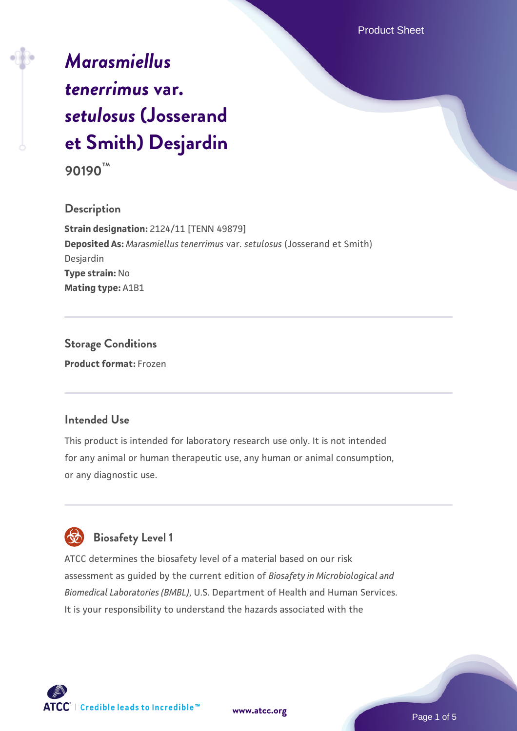# *[Marasmiellus](https://www.atcc.org/products/90190) [tenerrimus](https://www.atcc.org/products/90190)* **[var.](https://www.atcc.org/products/90190)** *[setulosus](https://www.atcc.org/products/90190)* **[\(Josserand](https://www.atcc.org/products/90190) [et Smith\) Desjardin](https://www.atcc.org/products/90190)**

**90190™**

## **Description**

**Strain designation:** 2124/11 [TENN 49879] **Deposited As:** *Marasmiellus tenerrimus* var. *setulosus* (Josserand et Smith) Desjardin **Type strain:** No **Mating type:** A1B1

**Storage Conditions Product format:** Frozen

# **Intended Use**

This product is intended for laboratory research use only. It is not intended for any animal or human therapeutic use, any human or animal consumption, or any diagnostic use.



# **Biosafety Level 1**

ATCC determines the biosafety level of a material based on our risk assessment as guided by the current edition of *Biosafety in Microbiological and Biomedical Laboratories (BMBL)*, U.S. Department of Health and Human Services. It is your responsibility to understand the hazards associated with the

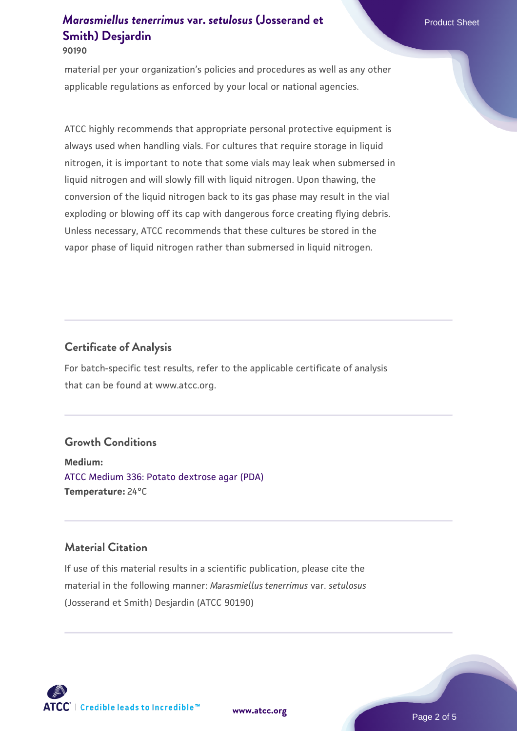#### **90190**

material per your organization's policies and procedures as well as any other applicable regulations as enforced by your local or national agencies.

ATCC highly recommends that appropriate personal protective equipment is always used when handling vials. For cultures that require storage in liquid nitrogen, it is important to note that some vials may leak when submersed in liquid nitrogen and will slowly fill with liquid nitrogen. Upon thawing, the conversion of the liquid nitrogen back to its gas phase may result in the vial exploding or blowing off its cap with dangerous force creating flying debris. Unless necessary, ATCC recommends that these cultures be stored in the vapor phase of liquid nitrogen rather than submersed in liquid nitrogen.

## **Certificate of Analysis**

For batch-specific test results, refer to the applicable certificate of analysis that can be found at www.atcc.org.

#### **Growth Conditions**

**Medium:**  [ATCC Medium 336: Potato dextrose agar \(PDA\)](https://www.atcc.org/-/media/product-assets/documents/microbial-media-formulations/3/3/6/atcc-medium-336.pdf?rev=d9160ad44d934cd8b65175461abbf3b9) **Temperature:** 24°C

## **Material Citation**

If use of this material results in a scientific publication, please cite the material in the following manner: *Marasmiellus tenerrimus* var. *setulosus* (Josserand et Smith) Desjardin (ATCC 90190)

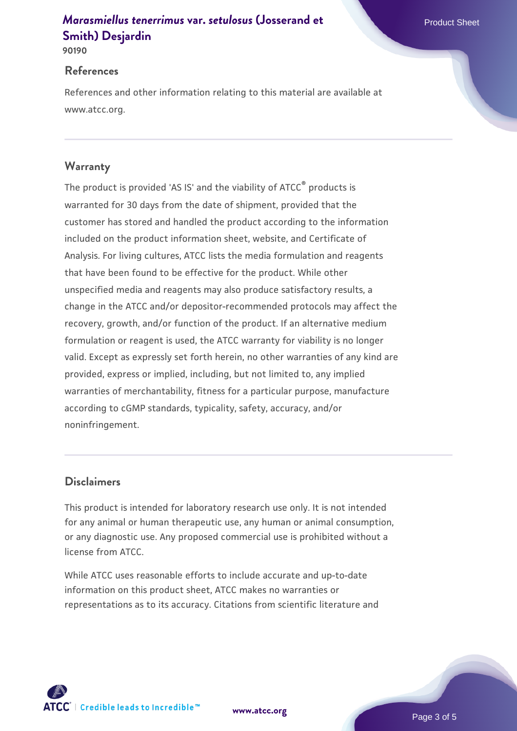**90190**

#### **References**

References and other information relating to this material are available at www.atcc.org.

## **Warranty**

The product is provided 'AS IS' and the viability of ATCC® products is warranted for 30 days from the date of shipment, provided that the customer has stored and handled the product according to the information included on the product information sheet, website, and Certificate of Analysis. For living cultures, ATCC lists the media formulation and reagents that have been found to be effective for the product. While other unspecified media and reagents may also produce satisfactory results, a change in the ATCC and/or depositor-recommended protocols may affect the recovery, growth, and/or function of the product. If an alternative medium formulation or reagent is used, the ATCC warranty for viability is no longer valid. Except as expressly set forth herein, no other warranties of any kind are provided, express or implied, including, but not limited to, any implied warranties of merchantability, fitness for a particular purpose, manufacture according to cGMP standards, typicality, safety, accuracy, and/or noninfringement.

## **Disclaimers**

This product is intended for laboratory research use only. It is not intended for any animal or human therapeutic use, any human or animal consumption, or any diagnostic use. Any proposed commercial use is prohibited without a license from ATCC.

While ATCC uses reasonable efforts to include accurate and up-to-date information on this product sheet, ATCC makes no warranties or representations as to its accuracy. Citations from scientific literature and

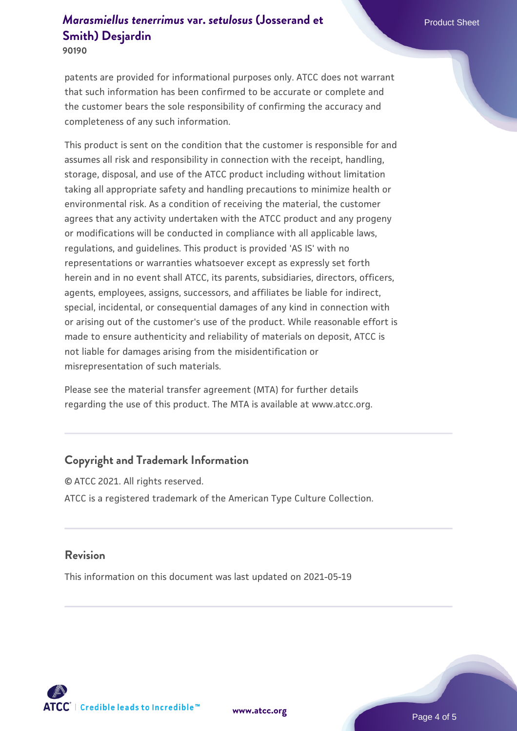**90190**

patents are provided for informational purposes only. ATCC does not warrant that such information has been confirmed to be accurate or complete and the customer bears the sole responsibility of confirming the accuracy and completeness of any such information.

This product is sent on the condition that the customer is responsible for and assumes all risk and responsibility in connection with the receipt, handling, storage, disposal, and use of the ATCC product including without limitation taking all appropriate safety and handling precautions to minimize health or environmental risk. As a condition of receiving the material, the customer agrees that any activity undertaken with the ATCC product and any progeny or modifications will be conducted in compliance with all applicable laws, regulations, and guidelines. This product is provided 'AS IS' with no representations or warranties whatsoever except as expressly set forth herein and in no event shall ATCC, its parents, subsidiaries, directors, officers, agents, employees, assigns, successors, and affiliates be liable for indirect, special, incidental, or consequential damages of any kind in connection with or arising out of the customer's use of the product. While reasonable effort is made to ensure authenticity and reliability of materials on deposit, ATCC is not liable for damages arising from the misidentification or misrepresentation of such materials.

Please see the material transfer agreement (MTA) for further details regarding the use of this product. The MTA is available at www.atcc.org.

# **Copyright and Trademark Information**

© ATCC 2021. All rights reserved. ATCC is a registered trademark of the American Type Culture Collection.

#### **Revision**

This information on this document was last updated on 2021-05-19



**[www.atcc.org](http://www.atcc.org)**

Page 4 of 5